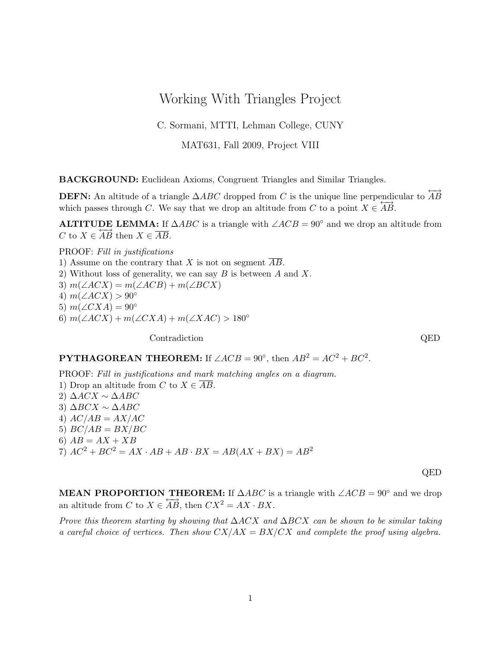## Working With Triangles Project

C. Sormani, MTTI, Lehman College, CUNY

MAT631, Fall 2009, Project VIII

BACKGROUND: Euclidean Axioms, Congruent Triangles and Similar Triangles.

**DEFN:** An altitude of a triangle  $\triangle ABC$  dropped from C is the unique line perpendicular to  $\overrightarrow{AB}$ which passes through C. We say that we drop an altitude from C to a point  $X \in \overleftrightarrow{AB}$ .

**ALTITUDE LEMMA:** If  $\triangle ABC$  is a triangle with  $\angle ACB = 90^\circ$  and we drop an altitude from C to  $X \in \overleftrightarrow{AB}$  then  $X \in \overline{AB}$ .

PROOF: Fill in justifications 1) Assume on the contrary that X is not on segment  $\overline{AB}$ . 2) Without loss of generality, we can say  $B$  is between  $A$  and  $X$ . 3)  $m(\angle ACX) = m(\angle ACB) + m(\angle BCX)$ 4)  $m(\angle ACX) > 90^{\circ}$ 5)  $m(\angle CXA) = 90^\circ$ 6)  $m(\angle ACX) + m(\angle CXA) + m(\angle XAC) > 180^{\circ}$ 

Contradiction QED

**PYTHAGOREAN THEOREM:** If  $\angle ACB = 90^\circ$ , then  $AB^2 = AC^2 + BC^2$ .

PROOF: Fill in justifications and mark matching angles on a diagram. 1) Drop an altitude from C to  $X \in \overline{AB}$ . 2)  $\Delta ACX \sim \Delta ABC$ 3) ∆BCX ∼ ∆ABC 4)  $AC/AB = AX/AC$ 5)  $BC/AB = BX/BC$ 6)  $AB = AX + XB$  $7)$   $AC^2 + BC^2 = AX \cdot AB + AB \cdot BX = AB(AX + BX) = AB^2$ 

QED

**MEAN PROPORTION THEOREM:** If  $\triangle ABC$  is a triangle with  $\angle ACB = 90°$  and we drop an altitude from C to  $X \in \overleftrightarrow{AB}$ , then  $CX^2 = AX \cdot BX$ .

Prove this theorem starting by showing that  $\Delta ACX$  and  $\Delta BCX$  can be shown to be similar taking a careful choice of vertices. Then show  $CX/AX = BX/CX$  and complete the proof using algebra.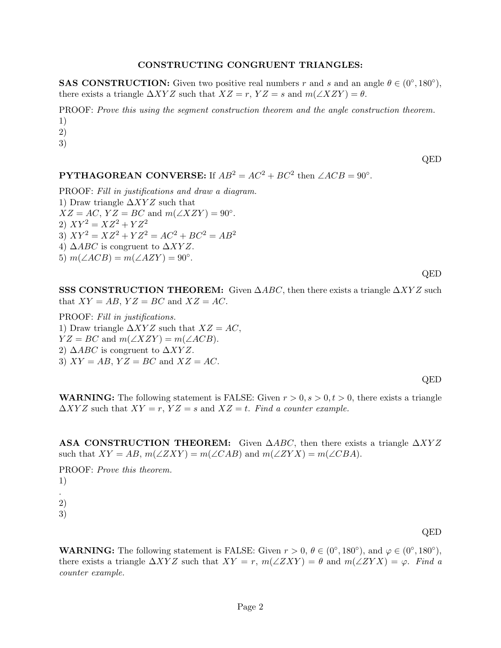## CONSTRUCTING CONGRUENT TRIANGLES:

**SAS CONSTRUCTION:** Given two positive real numbers r and s and an angle  $\theta \in (0^{\circ}, 180^{\circ})$ , there exists a triangle  $\Delta XYZ$  such that  $XZ = r$ ,  $YZ = s$  and  $m(\angle XZY) = \theta$ .

PROOF: Prove this using the segment construction theorem and the angle construction theorem. 1)

2)

3)

QED

**PYTHAGOREAN CONVERSE:** If  $AB^2 = AC^2 + BC^2$  then  $\angle ACB = 90^\circ$ .

PROOF: Fill in justifications and draw a diagram.

1) Draw triangle  $\Delta XYZ$  such that  $XZ = AC$ ,  $YZ = BC$  and  $m(\angle XZY) = 90^{\circ}$ . 2)  $XY^2 = XZ^2 + YZ^2$ 3)  $XY^2 = XZ^2 + YZ^2 = AC^2 + BC^2 = AB^2$ 4)  $\triangle ABC$  is congruent to  $\triangle XYZ$ . 5)  $m(\angle ACB) = m(\angle AZY) = 90^\circ$ .

QED

SSS CONSTRUCTION THEOREM: Given  $\triangle ABC$ , then there exists a triangle  $\triangle XYZ$  such that  $XY = AB$ ,  $YZ = BC$  and  $XZ = AC$ .

PROOF: Fill in justifications. 1) Draw triangle  $\Delta XYZ$  such that  $XZ = AC$ ,  $YZ = BC$  and  $m(\angle XZY) = m(\angle ACB)$ . 2)  $\triangle ABC$  is congruent to  $\triangle XYZ$ . 3)  $XY = AB$ ,  $YZ = BC$  and  $XZ = AC$ .

QED

**WARNING:** The following statement is FALSE: Given  $r > 0$ ,  $s > 0$ ,  $t > 0$ , there exists a triangle  $\Delta XYZ$  such that  $XY = r$ ,  $YZ = s$  and  $XZ = t$ . Find a counter example.

**ASA CONSTRUCTION THEOREM:** Given  $\triangle ABC$ , then there exists a triangle  $\triangle XYZ$ such that  $XY = AB$ ,  $m(\angle ZXY) = m(\angle CAB)$  and  $m(\angle ZYX) = m(\angle CBA)$ .

PROOF: Prove this theorem. 1) . 2) 3)

QED

**WARNING:** The following statement is FALSE: Given  $r > 0$ ,  $\theta \in (0^{\circ}, 180^{\circ})$ , and  $\varphi \in (0^{\circ}, 180^{\circ})$ , there exists a triangle  $\Delta XYZ$  such that  $XY = r$ ,  $m(\angle ZXY) = \theta$  and  $m(\angle ZYX) = \varphi$ . Find a counter example.